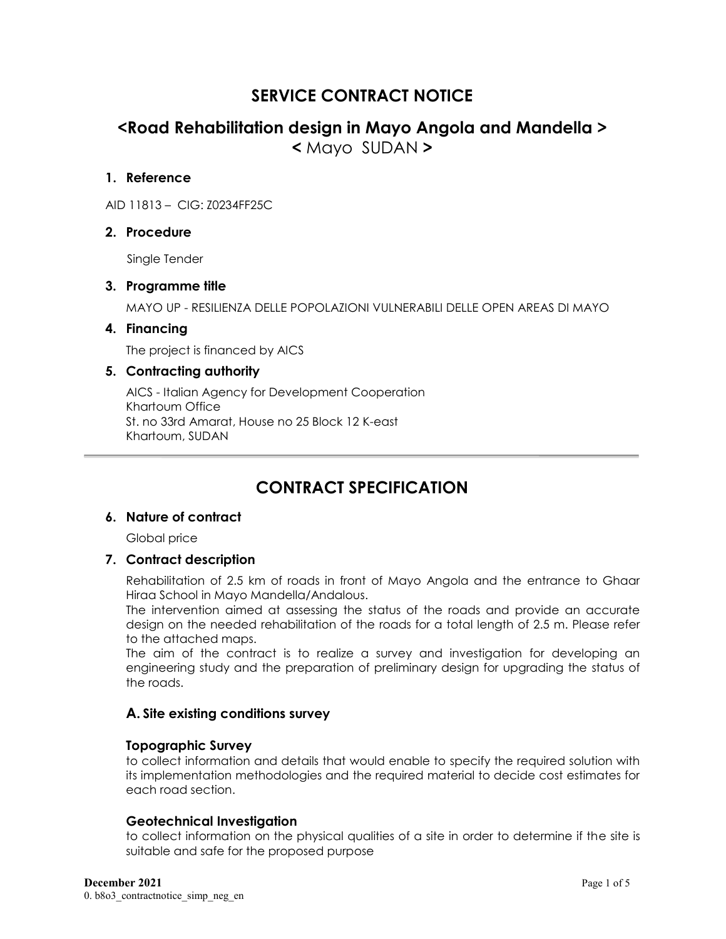# **SERVICE CONTRACT NOTICE**

# **<Road Rehabilitation design in Mayo Angola and Mandella > <** Mayo SUDAN **>**

#### **1. Reference**

AID 11813 – CIG: Z0234FF25C

### **2. Procedure**

Single Tender

#### **3. Programme title**

MAYO UP - RESILIENZA DELLE POPOLAZIONI VULNERABILI DELLE OPEN AREAS DI MAYO

#### **4. Financing**

The project is financed by AICS

#### **5. Contracting authority**

AICS - Italian Agency for Development Cooperation Khartoum Office St. no 33rd Amarat, House no 25 Block 12 K-east Khartoum, SUDAN

# **CONTRACT SPECIFICATION**

#### **6. Nature of contract**

Global price

#### **7. Contract description**

Rehabilitation of 2.5 km of roads in front of Mayo Angola and the entrance to Ghaar Hiraa School in Mayo Mandella/Andalous.

The intervention aimed at assessing the status of the roads and provide an accurate design on the needed rehabilitation of the roads for a total length of 2.5 m. Please refer to the attached maps.

The aim of the contract is to realize a survey and investigation for developing an engineering study and the preparation of preliminary design for upgrading the status of the roads.

### **A. Site existing conditions survey**

#### **Topographic Survey**

to collect information and details that would enable to specify the required solution with its implementation methodologies and the required material to decide cost estimates for each road section.

#### **Geotechnical Investigation**

to collect information on the physical qualities of a site in order to determine if the site is suitable and safe for the proposed purpose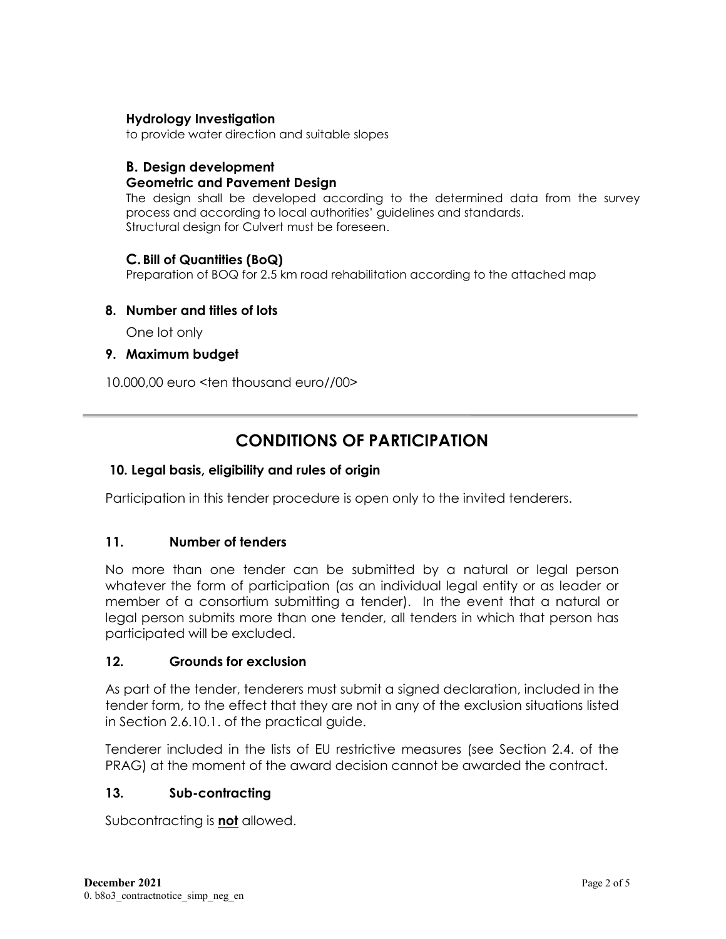### **Hydrology Investigation**

to provide water direction and suitable slopes

## **B. Design development**

## **Geometric and Pavement Design**

The design shall be developed according to the determined data from the survey process and according to local authorities' guidelines and standards. Structural design for Culvert must be foreseen.

## **C.Bill of Quantities (BoQ)**

Preparation of BOQ for 2.5 km road rehabilitation according to the attached map

## **8. Number and titles of lots**

One lot only

## **9. Maximum budget**

10.000,00 euro <ten thousand euro//00>

# **CONDITIONS OF PARTICIPATION**

## **10. Legal basis, eligibility and rules of origin**

Participation in this tender procedure is open only to the invited tenderers.

### **11. Number of tenders**

No more than one tender can be submitted by a natural or legal person whatever the form of participation (as an individual legal entity or as leader or member of a consortium submitting a tender). In the event that a natural or legal person submits more than one tender, all tenders in which that person has participated will be excluded.

### **12. Grounds for exclusion**

As part of the tender, tenderers must submit a signed declaration, included in the tender form, to the effect that they are not in any of the exclusion situations listed in Section 2.6.10.1. of the practical guide.

Tenderer included in the lists of EU restrictive measures (see Section 2.4. of the PRAG) at the moment of the award decision cannot be awarded the contract.

## **13. Sub-contracting**

Subcontracting is **not** allowed.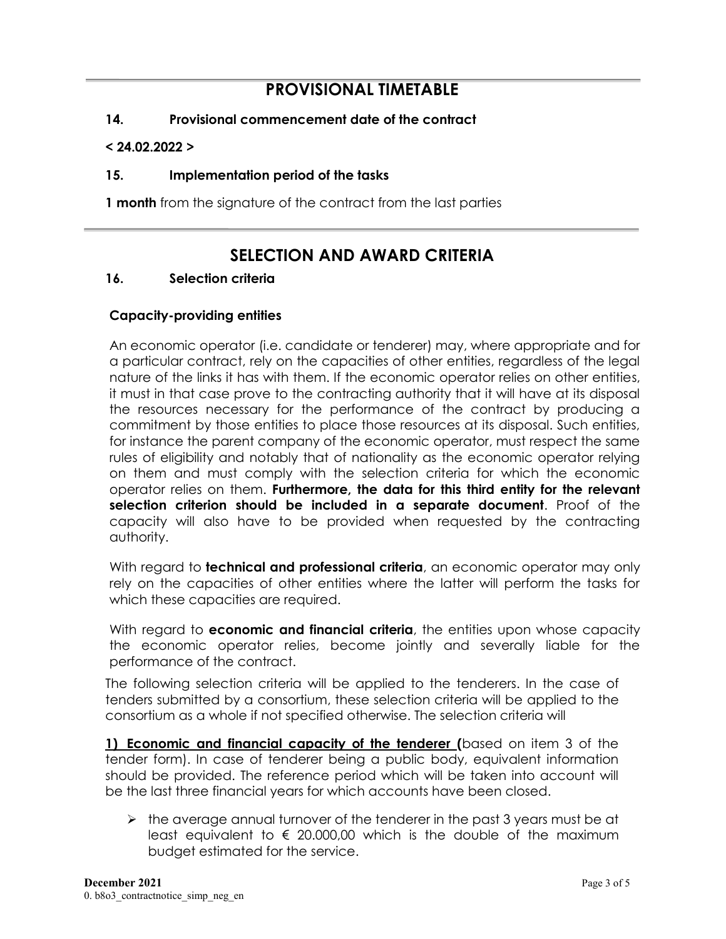# **PROVISIONAL TIMETABLE**

## **14. Provisional commencement date of the contract**

#### **< 24.02.2022 >**

### **15. Implementation period of the tasks**

**1 month** from the signature of the contract from the last parties

# **SELECTION AND AWARD CRITERIA**

### **16. Selection criteria**

#### **Capacity-providing entities**

An economic operator (i.e. candidate or tenderer) may, where appropriate and for a particular contract, rely on the capacities of other entities, regardless of the legal nature of the links it has with them. If the economic operator relies on other entities, it must in that case prove to the contracting authority that it will have at its disposal the resources necessary for the performance of the contract by producing a commitment by those entities to place those resources at its disposal. Such entities, for instance the parent company of the economic operator, must respect the same rules of eligibility and notably that of nationality as the economic operator relying on them and must comply with the selection criteria for which the economic operator relies on them. **Furthermore, the data for this third entity for the relevant selection criterion should be included in a separate document**. Proof of the capacity will also have to be provided when requested by the contracting authority.

With regard to **technical and professional criteria**, an economic operator may only rely on the capacities of other entities where the latter will perform the tasks for which these capacities are required.

With regard to **economic and financial criteria**, the entities upon whose capacity the economic operator relies, become jointly and severally liable for the performance of the contract.

The following selection criteria will be applied to the tenderers. In the case of tenders submitted by a consortium, these selection criteria will be applied to the consortium as a whole if not specified otherwise. The selection criteria will

**1) Economic and financial capacity of the tenderer (**based on item 3 of the tender form). In case of tenderer being a public body, equivalent information should be provided. The reference period which will be taken into account will be the last three financial years for which accounts have been closed.

 $\triangleright$  the average annual turnover of the tenderer in the past 3 years must be at least equivalent to  $\epsilon$  20.000,00 which is the double of the maximum budget estimated for the service.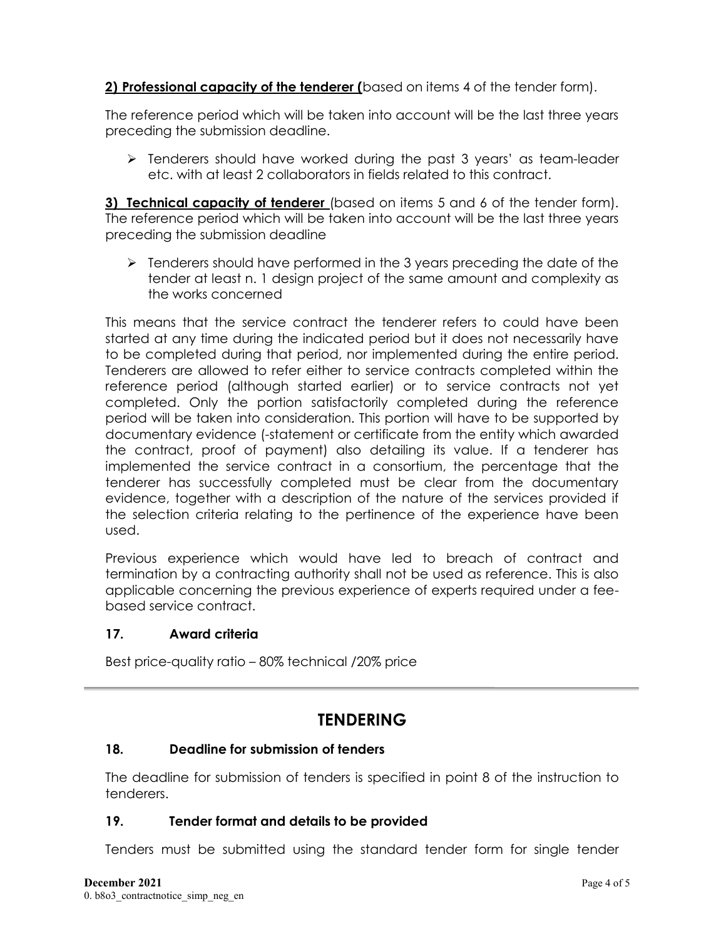# **2) Professional capacity of the tenderer (**based on items 4 of the tender form).

The reference period which will be taken into account will be the last three years preceding the submission deadline.

 $\triangleright$  Tenderers should have worked during the past 3 years' as team-leader etc. with at least 2 collaborators in fields related to this contract.

**3) Technical capacity of tenderer** (based on items 5 and 6 of the tender form). The reference period which will be taken into account will be the last three years preceding the submission deadline

 $\triangleright$  Tenderers should have performed in the 3 years preceding the date of the tender at least n. 1 design project of the same amount and complexity as the works concerned

This means that the service contract the tenderer refers to could have been started at any time during the indicated period but it does not necessarily have to be completed during that period, nor implemented during the entire period. Tenderers are allowed to refer either to service contracts completed within the reference period (although started earlier) or to service contracts not yet completed. Only the portion satisfactorily completed during the reference period will be taken into consideration. This portion will have to be supported by documentary evidence (-statement or certificate from the entity which awarded the contract, proof of payment) also detailing its value. If a tenderer has implemented the service contract in a consortium, the percentage that the tenderer has successfully completed must be clear from the documentary evidence, together with a description of the nature of the services provided if the selection criteria relating to the pertinence of the experience have been used.

Previous experience which would have led to breach of contract and termination by a contracting authority shall not be used as reference. This is also applicable concerning the previous experience of experts required under a feebased service contract.

## **17. Award criteria**

Best price-quality ratio – 80% technical /20% price

# **TENDERING**

## **18. Deadline for submission of tenders**

The deadline for submission of tenders is specified in point 8 of the instruction to tenderers.

### **19. Tender format and details to be provided**

Tenders must be submitted using the standard tender form for single tender